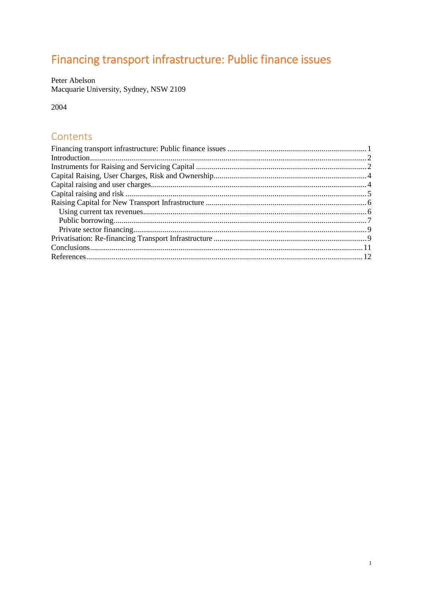# <span id="page-0-0"></span>Financing transport infrastructure: Public finance issues

Peter Abelson Macquarie University, Sydney, NSW 2109

2004

## Contents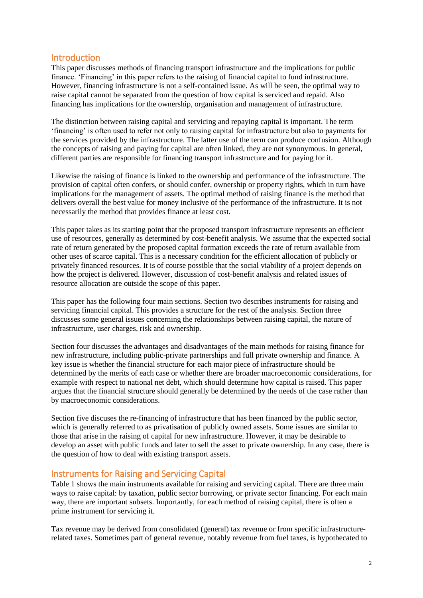#### <span id="page-1-0"></span>Introduction

This paper discusses methods of financing transport infrastructure and the implications for public finance. 'Financing' in this paper refers to the raising of financial capital to fund infrastructure. However, financing infrastructure is not a self-contained issue. As will be seen, the optimal way to raise capital cannot be separated from the question of how capital is serviced and repaid. Also financing has implications for the ownership, organisation and management of infrastructure.

The distinction between raising capital and servicing and repaying capital is important. The term 'financing' is often used to refer not only to raising capital for infrastructure but also to payments for the services provided by the infrastructure. The latter use of the term can produce confusion. Although the concepts of raising and paying for capital are often linked, they are not synonymous. In general, different parties are responsible for financing transport infrastructure and for paying for it.

Likewise the raising of finance is linked to the ownership and performance of the infrastructure. The provision of capital often confers, or should confer, ownership or property rights, which in turn have implications for the management of assets. The optimal method of raising finance is the method that delivers overall the best value for money inclusive of the performance of the infrastructure. It is not necessarily the method that provides finance at least cost.

This paper takes as its starting point that the proposed transport infrastructure represents an efficient use of resources, generally as determined by cost-benefit analysis. We assume that the expected social rate of return generated by the proposed capital formation exceeds the rate of return available from other uses of scarce capital. This is a necessary condition for the efficient allocation of publicly or privately financed resources. It is of course possible that the social viability of a project depends on how the project is delivered. However, discussion of cost-benefit analysis and related issues of resource allocation are outside the scope of this paper.

This paper has the following four main sections. Section two describes instruments for raising and servicing financial capital. This provides a structure for the rest of the analysis. Section three discusses some general issues concerning the relationships between raising capital, the nature of infrastructure, user charges, risk and ownership.

Section four discusses the advantages and disadvantages of the main methods for raising finance for new infrastructure, including public-private partnerships and full private ownership and finance. A key issue is whether the financial structure for each major piece of infrastructure should be determined by the merits of each case or whether there are broader macroeconomic considerations, for example with respect to national net debt, which should determine how capital is raised. This paper argues that the financial structure should generally be determined by the needs of the case rather than by macroeconomic considerations.

Section five discuses the re-financing of infrastructure that has been financed by the public sector, which is generally referred to as privatisation of publicly owned assets. Some issues are similar to those that arise in the raising of capital for new infrastructure. However, it may be desirable to develop an asset with public funds and later to sell the asset to private ownership. In any case, there is the question of how to deal with existing transport assets.

## <span id="page-1-1"></span>Instruments for Raising and Servicing Capital

Table 1 shows the main instruments available for raising and servicing capital. There are three main ways to raise capital: by taxation, public sector borrowing, or private sector financing. For each main way, there are important subsets. Importantly, for each method of raising capital, there is often a prime instrument for servicing it.

Tax revenue may be derived from consolidated (general) tax revenue or from specific infrastructurerelated taxes. Sometimes part of general revenue, notably revenue from fuel taxes, is hypothecated to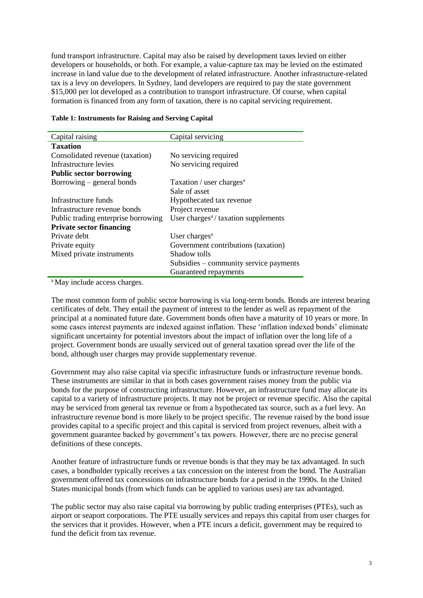fund transport infrastructure. Capital may also be raised by development taxes levied on either developers or households, or both. For example, a value-capture tax may be levied on the estimated increase in land value due to the development of related infrastructure. Another infrastructure-related tax is a levy on developers. In Sydney, land developers are required to pay the state government \$15,000 per lot developed as a contribution to transport infrastructure. Of course, when capital formation is financed from any form of taxation, there is no capital servicing requirement.

| Capital raising                     | Capital servicing                                             |  |
|-------------------------------------|---------------------------------------------------------------|--|
| <b>Taxation</b>                     |                                                               |  |
| Consolidated revenue (taxation)     | No servicing required                                         |  |
| Infrastructure levies               | No servicing required                                         |  |
| <b>Public sector borrowing</b>      |                                                               |  |
| Borrowing $-$ general bonds         | Taxation / user charges <sup>a</sup>                          |  |
|                                     | Sale of asset                                                 |  |
| Infrastructure funds                | Hypothecated tax revenue                                      |  |
| Infrastructure revenue bonds        | Project revenue                                               |  |
| Public trading enterprise borrowing | User charges <sup><math>a</math></sup> / taxation supplements |  |
| <b>Private sector financing</b>     |                                                               |  |
| Private debt                        | User charges <sup>a</sup>                                     |  |
| Private equity                      | Government contributions (taxation)                           |  |
| Mixed private instruments           | Shadow tolls                                                  |  |
|                                     | Subsidies – community service payments                        |  |
|                                     | Guaranteed repayments                                         |  |

#### **Table 1: Instruments for Raising and Serving Capital**

<sup>a</sup>May include access charges.

The most common form of public sector borrowing is via long-term bonds. Bonds are interest bearing certificates of debt. They entail the payment of interest to the lender as well as repayment of the principal at a nominated future date. Government bonds often have a maturity of 10 years or more. In some cases interest payments are indexed against inflation. These 'inflation indexed bonds' eliminate significant uncertainty for potential investors about the impact of inflation over the long life of a project. Government bonds are usually serviced out of general taxation spread over the life of the bond, although user charges may provide supplementary revenue.

Government may also raise capital via specific infrastructure funds or infrastructure revenue bonds. These instruments are similar in that in both cases government raises money from the public via bonds for the purpose of constructing infrastructure. However, an infrastructure fund may allocate its capital to a variety of infrastructure projects. It may not be project or revenue specific. Also the capital may be serviced from general tax revenue or from a hypothecated tax source, such as a fuel levy. An infrastructure revenue bond is more likely to be project specific. The revenue raised by the bond issue provides capital to a specific project and this capital is serviced from project revenues, albeit with a government guarantee backed by government's tax powers. However, there are no precise general definitions of these concepts.

Another feature of infrastructure funds or revenue bonds is that they may be tax advantaged. In such cases, a bondholder typically receives a tax concession on the interest from the bond. The Australian government offered tax concessions on infrastructure bonds for a period in the 1990s. In the United States municipal bonds (from which funds can be applied to various uses) are tax advantaged.

The public sector may also raise capital via borrowing by public trading enterprises (PTEs), such as airport or seaport corporations. The PTE usually services and repays this capital from user charges for the services that it provides. However, when a PTE incurs a deficit, government may be required to fund the deficit from tax revenue.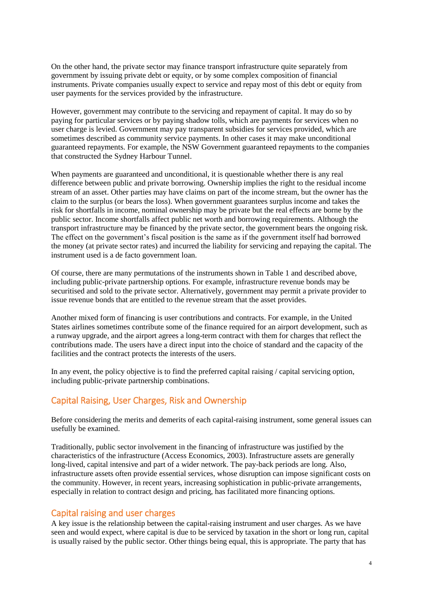On the other hand, the private sector may finance transport infrastructure quite separately from government by issuing private debt or equity, or by some complex composition of financial instruments. Private companies usually expect to service and repay most of this debt or equity from user payments for the services provided by the infrastructure.

However, government may contribute to the servicing and repayment of capital. It may do so by paying for particular services or by paying shadow tolls, which are payments for services when no user charge is levied. Government may pay transparent subsidies for services provided, which are sometimes described as community service payments. In other cases it may make unconditional guaranteed repayments. For example, the NSW Government guaranteed repayments to the companies that constructed the Sydney Harbour Tunnel.

When payments are guaranteed and unconditional, it is questionable whether there is any real difference between public and private borrowing. Ownership implies the right to the residual income stream of an asset. Other parties may have claims on part of the income stream, but the owner has the claim to the surplus (or bears the loss). When government guarantees surplus income and takes the risk for shortfalls in income, nominal ownership may be private but the real effects are borne by the public sector. Income shortfalls affect public net worth and borrowing requirements. Although the transport infrastructure may be financed by the private sector, the government bears the ongoing risk. The effect on the government's fiscal position is the same as if the government itself had borrowed the money (at private sector rates) and incurred the liability for servicing and repaying the capital. The instrument used is a de facto government loan.

Of course, there are many permutations of the instruments shown in Table 1 and described above, including public-private partnership options. For example, infrastructure revenue bonds may be securitised and sold to the private sector. Alternatively, government may permit a private provider to issue revenue bonds that are entitled to the revenue stream that the asset provides.

Another mixed form of financing is user contributions and contracts. For example, in the United States airlines sometimes contribute some of the finance required for an airport development, such as a runway upgrade, and the airport agrees a long-term contract with them for charges that reflect the contributions made. The users have a direct input into the choice of standard and the capacity of the facilities and the contract protects the interests of the users.

In any event, the policy objective is to find the preferred capital raising / capital servicing option, including public-private partnership combinations.

## <span id="page-3-0"></span>Capital Raising, User Charges, Risk and Ownership

Before considering the merits and demerits of each capital-raising instrument, some general issues can usefully be examined.

Traditionally, public sector involvement in the financing of infrastructure was justified by the characteristics of the infrastructure (Access Economics, 2003). Infrastructure assets are generally long-lived, capital intensive and part of a wider network. The pay-back periods are long. Also, infrastructure assets often provide essential services, whose disruption can impose significant costs on the community. However, in recent years, increasing sophistication in public-private arrangements, especially in relation to contract design and pricing, has facilitated more financing options.

## <span id="page-3-1"></span>Capital raising and user charges

A key issue is the relationship between the capital-raising instrument and user charges. As we have seen and would expect, where capital is due to be serviced by taxation in the short or long run, capital is usually raised by the public sector. Other things being equal, this is appropriate. The party that has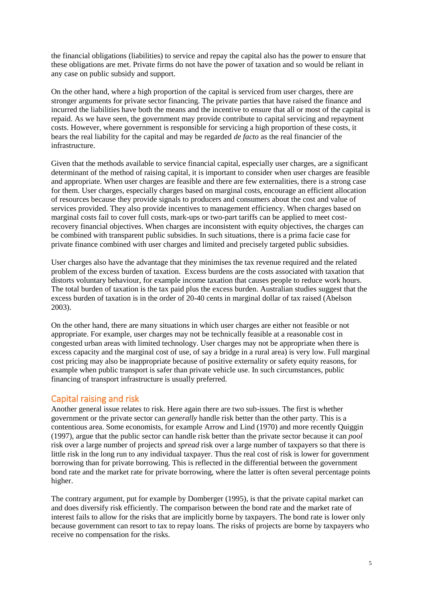the financial obligations (liabilities) to service and repay the capital also has the power to ensure that these obligations are met. Private firms do not have the power of taxation and so would be reliant in any case on public subsidy and support.

On the other hand, where a high proportion of the capital is serviced from user charges, there are stronger arguments for private sector financing. The private parties that have raised the finance and incurred the liabilities have both the means and the incentive to ensure that all or most of the capital is repaid. As we have seen, the government may provide contribute to capital servicing and repayment costs. However, where government is responsible for servicing a high proportion of these costs, it bears the real liability for the capital and may be regarded *de facto* as the real financier of the infrastructure.

Given that the methods available to service financial capital, especially user charges, are a significant determinant of the method of raising capital, it is important to consider when user charges are feasible and appropriate. When user charges are feasible and there are few externalities, there is a strong case for them. User charges, especially charges based on marginal costs, encourage an efficient allocation of resources because they provide signals to producers and consumers about the cost and value of services provided. They also provide incentives to management efficiency. When charges based on marginal costs fail to cover full costs, mark-ups or two-part tariffs can be applied to meet costrecovery financial objectives. When charges are inconsistent with equity objectives, the charges can be combined with transparent public subsidies. In such situations, there is a prima facie case for private finance combined with user charges and limited and precisely targeted public subsidies.

User charges also have the advantage that they minimises the tax revenue required and the related problem of the excess burden of taxation. Excess burdens are the costs associated with taxation that distorts voluntary behaviour, for example income taxation that causes people to reduce work hours. The total burden of taxation is the tax paid plus the excess burden. Australian studies suggest that the excess burden of taxation is in the order of 20-40 cents in marginal dollar of tax raised (Abelson 2003).

On the other hand, there are many situations in which user charges are either not feasible or not appropriate. For example, user charges may not be technically feasible at a reasonable cost in congested urban areas with limited technology. User charges may not be appropriate when there is excess capacity and the marginal cost of use, of say a bridge in a rural area) is very low. Full marginal cost pricing may also be inappropriate because of positive externality or safety equity reasons, for example when public transport is safer than private vehicle use. In such circumstances, public financing of transport infrastructure is usually preferred.

## <span id="page-4-0"></span>Capital raising and risk

Another general issue relates to risk. Here again there are two sub-issues. The first is whether government or the private sector can *generally* handle risk better than the other party. This is a contentious area. Some economists, for example Arrow and Lind (1970) and more recently Quiggin (1997), argue that the public sector can handle risk better than the private sector because it can *pool* risk over a large number of projects and *spread* risk over a large number of taxpayers so that there is little risk in the long run to any individual taxpayer. Thus the real cost of risk is lower for government borrowing than for private borrowing. This is reflected in the differential between the government bond rate and the market rate for private borrowing, where the latter is often several percentage points higher.

The contrary argument, put for example by Domberger (1995), is that the private capital market can and does diversify risk efficiently. The comparison between the bond rate and the market rate of interest fails to allow for the risks that are implicitly borne by taxpayers. The bond rate is lower only because government can resort to tax to repay loans. The risks of projects are borne by taxpayers who receive no compensation for the risks.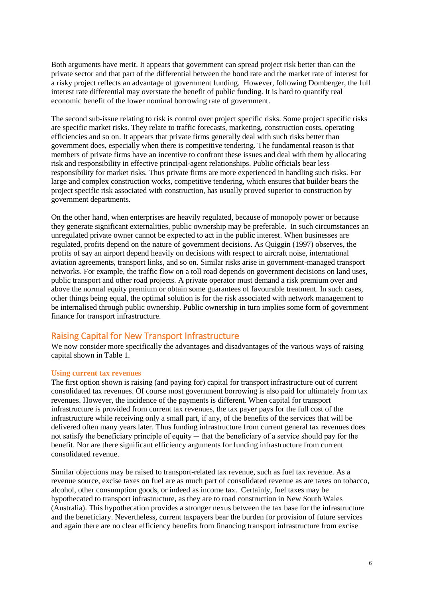Both arguments have merit. It appears that government can spread project risk better than can the private sector and that part of the differential between the bond rate and the market rate of interest for a risky project reflects an advantage of government funding. However, following Domberger, the full interest rate differential may overstate the benefit of public funding. It is hard to quantify real economic benefit of the lower nominal borrowing rate of government.

The second sub-issue relating to risk is control over project specific risks. Some project specific risks are specific market risks. They relate to traffic forecasts, marketing, construction costs, operating efficiencies and so on. It appears that private firms generally deal with such risks better than government does, especially when there is competitive tendering. The fundamental reason is that members of private firms have an incentive to confront these issues and deal with them by allocating risk and responsibility in effective principal-agent relationships. Public officials bear less responsibility for market risks. Thus private firms are more experienced in handling such risks. For large and complex construction works, competitive tendering, which ensures that builder bears the project specific risk associated with construction, has usually proved superior to construction by government departments.

On the other hand, when enterprises are heavily regulated, because of monopoly power or because they generate significant externalities, public ownership may be preferable. In such circumstances an unregulated private owner cannot be expected to act in the public interest. When businesses are regulated, profits depend on the nature of government decisions. As Quiggin (1997) observes, the profits of say an airport depend heavily on decisions with respect to aircraft noise, international aviation agreements, transport links, and so on. Similar risks arise in government-managed transport networks. For example, the traffic flow on a toll road depends on government decisions on land uses, public transport and other road projects. A private operator must demand a risk premium over and above the normal equity premium or obtain some guarantees of favourable treatment. In such cases, other things being equal, the optimal solution is for the risk associated with network management to be internalised through public ownership. Public ownership in turn implies some form of government finance for transport infrastructure.

#### <span id="page-5-0"></span>Raising Capital for New Transport Infrastructure

We now consider more specifically the advantages and disadvantages of the various ways of raising capital shown in Table 1.

#### <span id="page-5-1"></span>**Using current tax revenues**

The first option shown is raising (and paying for) capital for transport infrastructure out of current consolidated tax revenues. Of course most government borrowing is also paid for ultimately from tax revenues. However, the incidence of the payments is different. When capital for transport infrastructure is provided from current tax revenues, the tax payer pays for the full cost of the infrastructure while receiving only a small part, if any, of the benefits of the services that will be delivered often many years later. Thus funding infrastructure from current general tax revenues does not satisfy the beneficiary principle of equity — that the beneficiary of a service should pay for the benefit. Nor are there significant efficiency arguments for funding infrastructure from current consolidated revenue.

Similar objections may be raised to transport-related tax revenue, such as fuel tax revenue. As a revenue source, excise taxes on fuel are as much part of consolidated revenue as are taxes on tobacco, alcohol, other consumption goods, or indeed as income tax. Certainly, fuel taxes may be hypothecated to transport infrastructure, as they are to road construction in New South Wales (Australia). This hypothecation provides a stronger nexus between the tax base for the infrastructure and the beneficiary. Nevertheless, current taxpayers bear the burden for provision of future services and again there are no clear efficiency benefits from financing transport infrastructure from excise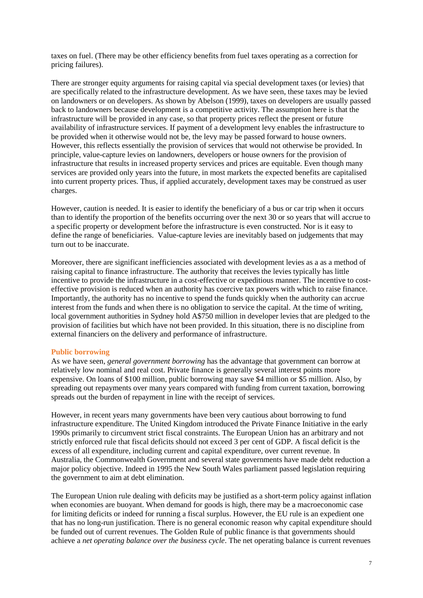taxes on fuel. (There may be other efficiency benefits from fuel taxes operating as a correction for pricing failures).

There are stronger equity arguments for raising capital via special development taxes (or levies) that are specifically related to the infrastructure development. As we have seen, these taxes may be levied on landowners or on developers. As shown by Abelson (1999), taxes on developers are usually passed back to landowners because development is a competitive activity. The assumption here is that the infrastructure will be provided in any case, so that property prices reflect the present or future availability of infrastructure services. If payment of a development levy enables the infrastructure to be provided when it otherwise would not be, the levy may be passed forward to house owners. However, this reflects essentially the provision of services that would not otherwise be provided. In principle, value-capture levies on landowners, developers or house owners for the provision of infrastructure that results in increased property services and prices are equitable. Even though many services are provided only years into the future, in most markets the expected benefits are capitalised into current property prices. Thus, if applied accurately, development taxes may be construed as user charges.

However, caution is needed. It is easier to identify the beneficiary of a bus or car trip when it occurs than to identify the proportion of the benefits occurring over the next 30 or so years that will accrue to a specific property or development before the infrastructure is even constructed. Nor is it easy to define the range of beneficiaries. Value-capture levies are inevitably based on judgements that may turn out to be inaccurate.

Moreover, there are significant inefficiencies associated with development levies as a as a method of raising capital to finance infrastructure. The authority that receives the levies typically has little incentive to provide the infrastructure in a cost-effective or expeditious manner. The incentive to costeffective provision is reduced when an authority has coercive tax powers with which to raise finance. Importantly, the authority has no incentive to spend the funds quickly when the authority can accrue interest from the funds and when there is no obligation to service the capital. At the time of writing, local government authorities in Sydney hold A\$750 million in developer levies that are pledged to the provision of facilities but which have not been provided. In this situation, there is no discipline from external financiers on the delivery and performance of infrastructure.

#### <span id="page-6-0"></span>**Public borrowing**

As we have seen, *general government borrowing* has the advantage that government can borrow at relatively low nominal and real cost. Private finance is generally several interest points more expensive. On loans of \$100 million, public borrowing may save \$4 million or \$5 million. Also, by spreading out repayments over many years compared with funding from current taxation, borrowing spreads out the burden of repayment in line with the receipt of services.

However, in recent years many governments have been very cautious about borrowing to fund infrastructure expenditure. The United Kingdom introduced the Private Finance Initiative in the early 1990s primarily to circumvent strict fiscal constraints. The European Union has an arbitrary and not strictly enforced rule that fiscal deficits should not exceed 3 per cent of GDP. A fiscal deficit is the excess of all expenditure, including current and capital expenditure, over current revenue. In Australia, the Commonwealth Government and several state governments have made debt reduction a major policy objective. Indeed in 1995 the New South Wales parliament passed legislation requiring the government to aim at debt elimination.

The European Union rule dealing with deficits may be justified as a short-term policy against inflation when economies are buoyant. When demand for goods is high, there may be a macroeconomic case for limiting deficits or indeed for running a fiscal surplus. However, the EU rule is an expedient one that has no long-run justification. There is no general economic reason why capital expenditure should be funded out of current revenues. The Golden Rule of public finance is that governments should achieve a *net operating balance over the business cycle*. The net operating balance is current revenues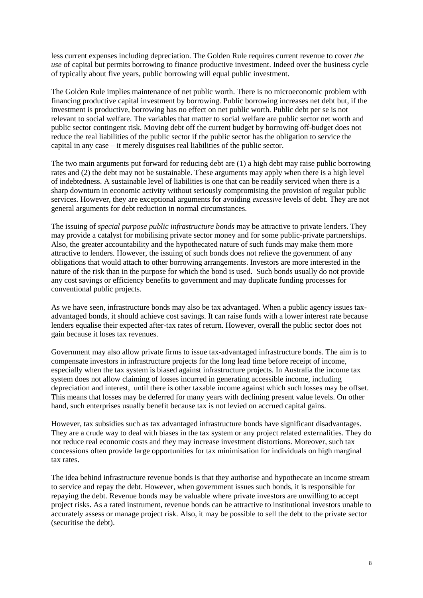less current expenses including depreciation. The Golden Rule requires current revenue to cover *the use* of capital but permits borrowing to finance productive investment. Indeed over the business cycle of typically about five years, public borrowing will equal public investment.

The Golden Rule implies maintenance of net public worth. There is no microeconomic problem with financing productive capital investment by borrowing. Public borrowing increases net debt but, if the investment is productive, borrowing has no effect on net public worth. Public debt per se is not relevant to social welfare. The variables that matter to social welfare are public sector net worth and public sector contingent risk. Moving debt off the current budget by borrowing off-budget does not reduce the real liabilities of the public sector if the public sector has the obligation to service the capital in any case – it merely disguises real liabilities of the public sector.

The two main arguments put forward for reducing debt are (1) a high debt may raise public borrowing rates and (2) the debt may not be sustainable. These arguments may apply when there is a high level of indebtedness. A sustainable level of liabilities is one that can be readily serviced when there is a sharp downturn in economic activity without seriously compromising the provision of regular public services. However, they are exceptional arguments for avoiding *excessive* levels of debt. They are not general arguments for debt reduction in normal circumstances.

The issuing of *special purpose public infrastructure bonds* may be attractive to private lenders. They may provide a catalyst for mobilising private sector money and for some public-private partnerships. Also, the greater accountability and the hypothecated nature of such funds may make them more attractive to lenders. However, the issuing of such bonds does not relieve the government of any obligations that would attach to other borrowing arrangements. Investors are more interested in the nature of the risk than in the purpose for which the bond is used. Such bonds usually do not provide any cost savings or efficiency benefits to government and may duplicate funding processes for conventional public projects.

As we have seen, infrastructure bonds may also be tax advantaged. When a public agency issues taxadvantaged bonds, it should achieve cost savings. It can raise funds with a lower interest rate because lenders equalise their expected after-tax rates of return. However, overall the public sector does not gain because it loses tax revenues.

Government may also allow private firms to issue tax-advantaged infrastructure bonds. The aim is to compensate investors in infrastructure projects for the long lead time before receipt of income, especially when the tax system is biased against infrastructure projects. In Australia the income tax system does not allow claiming of losses incurred in generating accessible income, including depreciation and interest, until there is other taxable income against which such losses may be offset. This means that losses may be deferred for many years with declining present value levels. On other hand, such enterprises usually benefit because tax is not levied on accrued capital gains.

However, tax subsidies such as tax advantaged infrastructure bonds have significant disadvantages. They are a crude way to deal with biases in the tax system or any project related externalities. They do not reduce real economic costs and they may increase investment distortions. Moreover, such tax concessions often provide large opportunities for tax minimisation for individuals on high marginal tax rates.

The idea behind infrastructure revenue bonds is that they authorise and hypothecate an income stream to service and repay the debt. However, when government issues such bonds, it is responsible for repaying the debt. Revenue bonds may be valuable where private investors are unwilling to accept project risks. As a rated instrument, revenue bonds can be attractive to institutional investors unable to accurately assess or manage project risk. Also, it may be possible to sell the debt to the private sector (securitise the debt).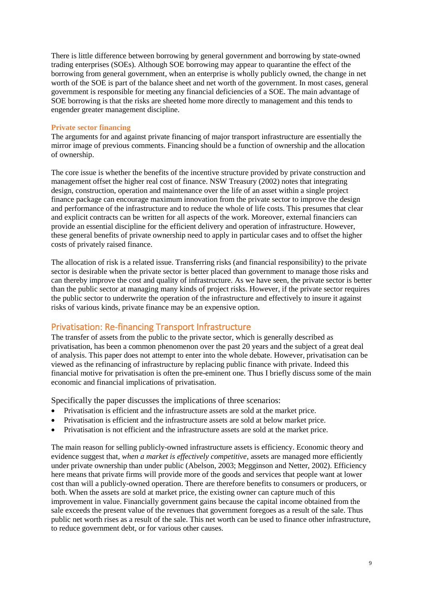There is little difference between borrowing by general government and borrowing by state-owned trading enterprises (SOEs). Although SOE borrowing may appear to quarantine the effect of the borrowing from general government, when an enterprise is wholly publicly owned, the change in net worth of the SOE is part of the balance sheet and net worth of the government. In most cases, general government is responsible for meeting any financial deficiencies of a SOE. The main advantage of SOE borrowing is that the risks are sheeted home more directly to management and this tends to engender greater management discipline.

#### <span id="page-8-0"></span>**Private sector financing**

The arguments for and against private financing of major transport infrastructure are essentially the mirror image of previous comments. Financing should be a function of ownership and the allocation of ownership.

The core issue is whether the benefits of the incentive structure provided by private construction and management offset the higher real cost of finance. NSW Treasury (2002) notes that integrating design, construction, operation and maintenance over the life of an asset within a single project finance package can encourage maximum innovation from the private sector to improve the design and performance of the infrastructure and to reduce the whole of life costs. This presumes that clear and explicit contracts can be written for all aspects of the work. Moreover, external financiers can provide an essential discipline for the efficient delivery and operation of infrastructure. However, these general benefits of private ownership need to apply in particular cases and to offset the higher costs of privately raised finance.

The allocation of risk is a related issue. Transferring risks (and financial responsibility) to the private sector is desirable when the private sector is better placed than government to manage those risks and can thereby improve the cost and quality of infrastructure. As we have seen, the private sector is better than the public sector at managing many kinds of project risks. However, if the private sector requires the public sector to underwrite the operation of the infrastructure and effectively to insure it against risks of various kinds, private finance may be an expensive option.

#### <span id="page-8-1"></span>Privatisation: Re-financing Transport Infrastructure

The transfer of assets from the public to the private sector, which is generally described as privatisation, has been a common phenomenon over the past 20 years and the subject of a great deal of analysis. This paper does not attempt to enter into the whole debate. However, privatisation can be viewed as the refinancing of infrastructure by replacing public finance with private. Indeed this financial motive for privatisation is often the pre-eminent one. Thus I briefly discuss some of the main economic and financial implications of privatisation.

Specifically the paper discusses the implications of three scenarios:

- Privatisation is efficient and the infrastructure assets are sold at the market price.
- Privatisation is efficient and the infrastructure assets are sold at below market price.
- Privatisation is not efficient and the infrastructure assets are sold at the market price.

The main reason for selling publicly-owned infrastructure assets is efficiency. Economic theory and evidence suggest that, *when a market is effectively competitive*, assets are managed more efficiently under private ownership than under public (Abelson, 2003; Megginson and Netter, 2002). Efficiency here means that private firms will provide more of the goods and services that people want at lower cost than will a publicly-owned operation. There are therefore benefits to consumers or producers, or both. When the assets are sold at market price, the existing owner can capture much of this improvement in value. Financially government gains because the capital income obtained from the sale exceeds the present value of the revenues that government foregoes as a result of the sale. Thus public net worth rises as a result of the sale. This net worth can be used to finance other infrastructure, to reduce government debt, or for various other causes.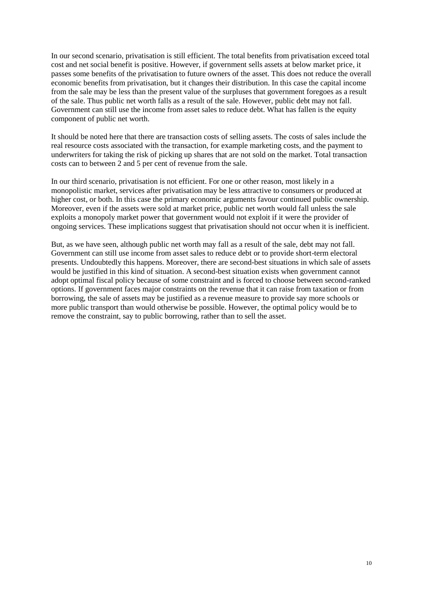In our second scenario, privatisation is still efficient. The total benefits from privatisation exceed total cost and net social benefit is positive. However, if government sells assets at below market price, it passes some benefits of the privatisation to future owners of the asset. This does not reduce the overall economic benefits from privatisation, but it changes their distribution. In this case the capital income from the sale may be less than the present value of the surpluses that government foregoes as a result of the sale. Thus public net worth falls as a result of the sale. However, public debt may not fall. Government can still use the income from asset sales to reduce debt. What has fallen is the equity component of public net worth.

It should be noted here that there are transaction costs of selling assets. The costs of sales include the real resource costs associated with the transaction, for example marketing costs, and the payment to underwriters for taking the risk of picking up shares that are not sold on the market. Total transaction costs can to between 2 and 5 per cent of revenue from the sale.

In our third scenario, privatisation is not efficient. For one or other reason, most likely in a monopolistic market, services after privatisation may be less attractive to consumers or produced at higher cost, or both. In this case the primary economic arguments favour continued public ownership. Moreover, even if the assets were sold at market price, public net worth would fall unless the sale exploits a monopoly market power that government would not exploit if it were the provider of ongoing services. These implications suggest that privatisation should not occur when it is inefficient.

But, as we have seen, although public net worth may fall as a result of the sale, debt may not fall. Government can still use income from asset sales to reduce debt or to provide short-term electoral presents. Undoubtedly this happens. Moreover, there are second-best situations in which sale of assets would be justified in this kind of situation. A second-best situation exists when government cannot adopt optimal fiscal policy because of some constraint and is forced to choose between second-ranked options. If government faces major constraints on the revenue that it can raise from taxation or from borrowing, the sale of assets may be justified as a revenue measure to provide say more schools or more public transport than would otherwise be possible. However, the optimal policy would be to remove the constraint, say to public borrowing, rather than to sell the asset.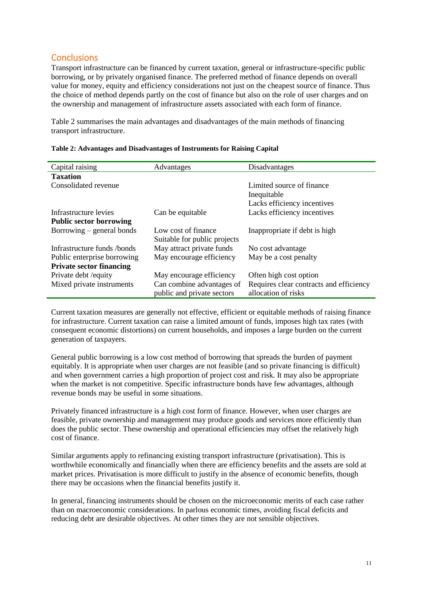## <span id="page-10-0"></span>**Conclusions**

Transport infrastructure can be financed by current taxation, general or infrastructure-specific public borrowing, or by privately organised finance. The preferred method of finance depends on overall value for money, equity and efficiency considerations not just on the cheapest source of finance. Thus the choice of method depends partly on the cost of finance but also on the role of user charges and on the ownership and management of infrastructure assets associated with each form of finance.

Table 2 summarises the main advantages and disadvantages of the main methods of financing transport infrastructure.

| Capital raising                 | Advantages                   | Disadvantages                           |
|---------------------------------|------------------------------|-----------------------------------------|
| <b>Taxation</b>                 |                              |                                         |
| Consolidated revenue            |                              | Limited source of finance               |
|                                 |                              | Inequitable                             |
|                                 |                              | Lacks efficiency incentives             |
| Infrastructure levies           | Can be equitable             | Lacks efficiency incentives             |
| <b>Public sector borrowing</b>  |                              |                                         |
| Borrowing – general bonds       | Low cost of finance          | Inappropriate if debt is high           |
|                                 | Suitable for public projects |                                         |
| Infrastructure funds /bonds     | May attract private funds    | No cost advantage                       |
| Public enterprise borrowing     | May encourage efficiency     | May be a cost penalty                   |
| <b>Private sector financing</b> |                              |                                         |
| Private debt / equity           | May encourage efficiency     | Often high cost option                  |
| Mixed private instruments       | Can combine advantages of    | Requires clear contracts and efficiency |
|                                 | public and private sectors   | allocation of risks                     |

Current taxation measures are generally not effective, efficient or equitable methods of raising finance for infrastructure. Current taxation can raise a limited amount of funds, imposes high tax rates (with consequent economic distortions) on current households, and imposes a large burden on the current generation of taxpayers.

General public borrowing is a low cost method of borrowing that spreads the burden of payment equitably. It is appropriate when user charges are not feasible (and so private financing is difficult) and when government carries a high proportion of project cost and risk. It may also be appropriate when the market is not competitive. Specific infrastructure bonds have few advantages, although revenue bonds may be useful in some situations.

Privately financed infrastructure is a high cost form of finance. However, when user charges are feasible, private ownership and management may produce goods and services more efficiently than does the public sector. These ownership and operational efficiencies may offset the relatively high cost of finance.

Similar arguments apply to refinancing existing transport infrastructure (privatisation). This is worthwhile economically and financially when there are efficiency benefits and the assets are sold at market prices. Privatisation is more difficult to justify in the absence of economic benefits, though there may be occasions when the financial benefits justify it.

In general, financing instruments should be chosen on the microeconomic merits of each case rather than on macroeconomic considerations. In parlous economic times, avoiding fiscal deficits and reducing debt are desirable objectives. At other times they are not sensible objectives.